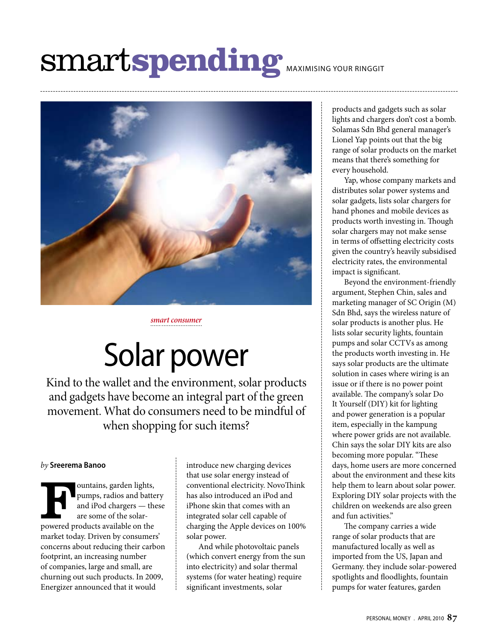# smart**spending** maximising your ringgit



*smart consumer*

## Solar power

Kind to the wallet and the environment, solar products and gadgets have become an integral part of the green movement. What do consumers need to be mindful of when shopping for such items?

#### *by* **Sreerema Banoo**

Fountains, garden lights,<br>
pumps, radios and batte<br>
and iPod chargers — the<br>
are some of the solar-<br>
powered products available on the pumps, radios and battery and iPod chargers — these are some of the solarmarket today. Driven by consumers' concerns about reducing their carbon footprint, an increasing number of companies, large and small, are churning out such products. In 2009, Energizer announced that it would

introduce new charging devices that use solar energy instead of conventional electricity. NovoThink has also introduced an iPod and iPhone skin that comes with an integrated solar cell capable of charging the Apple devices on 100% solar power.

And while photovoltaic panels (which convert energy from the sun into electricity) and solar thermal systems (for water heating) require significant investments, solar

products and gadgets such as solar lights and chargers don't cost a bomb. Solamas Sdn Bhd general manager's Lionel Yap points out that the big range of solar products on the market means that there's something for every household.

Yap, whose company markets and distributes solar power systems and solar gadgets, lists solar chargers for hand phones and mobile devices as products worth investing in. Though solar chargers may not make sense in terms of offsetting electricity costs given the country's heavily subsidised electricity rates, the environmental impact is significant.

Beyond the environment-friendly argument, Stephen Chin, sales and marketing manager of SC Origin (M) Sdn Bhd, says the wireless nature of solar products is another plus. He lists solar security lights, fountain pumps and solar CCTVs as among the products worth investing in. He says solar products are the ultimate solution in cases where wiring is an issue or if there is no power point available. The company's solar Do It Yourself (DIY) kit for lighting and power generation is a popular item, especially in the kampung where power grids are not available. Chin says the solar DIY kits are also becoming more popular. "These days, home users are more concerned about the environment and these kits help them to learn about solar power. Exploring DIY solar projects with the children on weekends are also green and fun activities."

The company carries a wide range of solar products that are manufactured locally as well as imported from the US, Japan and Germany. they include solar-powered spotlights and floodlights, fountain pumps for water features, garden